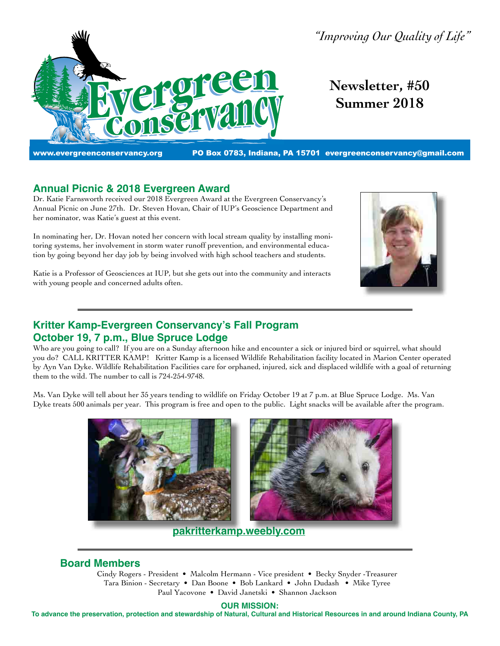

*"Improving Our Quality of Life"*

**Newsletter, #50 Summer 2018**

www.evergreenconservancy.org PO Box 0783, Indiana, PA 15701 [evergreenconservancy@gmail.com](mailto:evergreenconservancy@gmail.com)

## **Annual Picnic & 2018 Evergreen Award**

Dr. Katie Farnsworth received our 2018 Evergreen Award at the Evergreen Conservancy's Annual Picnic on June 27th. Dr. Steven Hovan, Chair of IUP's Geoscience Department and her nominator, was Katie's guest at this event.

In nominating her, Dr. Hovan noted her concern with local stream quality by installing monitoring systems, her involvement in storm water runoff prevention, and environmental education by going beyond her day job by being involved with high school teachers and students.



Katie is a Professor of Geosciences at IUP, but she gets out into the community and interacts with young people and concerned adults often.

# **Kritter Kamp-Evergreen Conservancy's Fall Program October 19, 7 p.m., Blue Spruce Lodge**

Who are you going to call? If you are on a Sunday afternoon hike and encounter a sick or injured bird or squirrel, what should you do? CALL KRITTER KAMP! Kritter Kamp is a licensed Wildlife Rehabilitation facility located in Marion Center operated by Ayn Van Dyke. Wildlife Rehabilitation Facilities care for orphaned, injured, sick and displaced wildlife with a goal of returning them to the wild. The number to call is 724-254-9748.

Ms. Van Dyke will tell about her 35 years tending to wildlife on Friday October 19 at 7 p.m. at Blue Spruce Lodge. Ms. Van Dyke treats 500 animals per year. This program is free and open to the public. Light snacks will be available after the program.



**[pakritterkamp.weebly.com](http://pakritterkamp.weebly.com)**

## **Board Members**

Cindy Rogers - President • Malcolm Hermann - Vice president • Becky Snyder -Treasurer Tara Binion - Secretary • Dan Boone • Bob Lankard • John Dudash • Mike Tyree Paul Yacovone • David Janetski • Shannon Jackson

#### **OUR MISSION:**

**To advance the preservation, protection and stewardship of Natural, Cultural and Historical Resources in and around Indiana County, PA**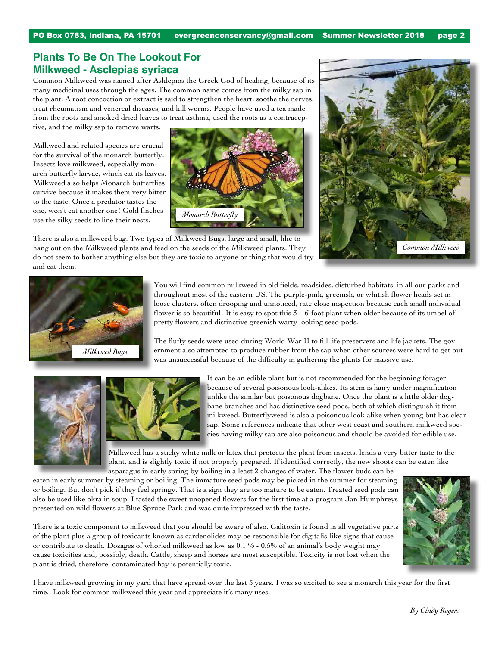## **Plants To Be On The Lookout For Milkweed - Asclepias syriaca**

Common Milkweed was named after Asklepios the Greek God of healing, because of its many medicinal uses through the ages. The common name comes from the milky sap in the plant. A root concoction or extract is said to strengthen the heart, soothe the nerves, treat rheumatism and venereal diseases, and kill worms. People have used a tea made from the roots and smoked dried leaves to treat asthma, used the roots as a contracep-

tive, and the milky sap to remove warts.

Milkweed and related species are crucial for the survival of the monarch butterfly. Insects love milkweed, especially monarch butterfly larvae, which eat its leaves. Milkweed also helps Monarch butterflies survive because it makes them very bitter to the taste. Once a predator tastes the one, won't eat another one! Gold finches use the silky seeds to line their nests.





There is also a milkweed bug. Two types of Milkweed Bugs, large and small, like to hang out on the Milkweed plants and feed on the seeds of the Milkweed plants. They do not seem to bother anything else but they are toxic to anyone or thing that would try and eat them.



You will find common milkweed in old fields, roadsides, disturbed habitats, in all our parks and throughout most of the eastern US. The purple-pink, greenish, or whitish flower heads set in loose clusters, often drooping and unnoticed, rate close inspection because each small individual flower is so beautiful! It is easy to spot this  $3 - 6$ -foot plant when older because of its umbel of pretty flowers and distinctive greenish warty looking seed pods.

The fluffy seeds were used during World War II to fill life preservers and life jackets. The government also attempted to produce rubber from the sap when other sources were hard to get but was unsuccessful because of the difficulty in gathering the plants for massive use.





It can be an edible plant but is not recommended for the beginning forager because of several poisonous look-alikes. Its stem is hairy under magnification unlike the similar but poisonous dogbane. Once the plant is a little older dogbane branches and has distinctive seed pods, both of which distinguish it from milkweed. Butterflyweed is also a poisonous look alike when young but has clear sap. Some references indicate that other west coast and southern milkweed species having milky sap are also poisonous and should be avoided for edible use.

Milkweed has a sticky white milk or latex that protects the plant from insects, lends a very bitter taste to the plant, and is slightly toxic if not properly prepared. If identified correctly, the new shoots can be eaten like asparagus in early spring by boiling in a least 2 changes of water. The flower buds can be

eaten in early summer by steaming or boiling. The immature seed pods may be picked in the summer for steaming or boiling. But don't pick if they feel springy. That is a sign they are too mature to be eaten. Treated seed pods can also be used like okra in soup. I tasted the sweet unopened flowers for the first time at a program Jan Humphreys presented on wild flowers at Blue Spruce Park and was quite impressed with the taste.

There is a toxic component to milkweed that you should be aware of also. Galitoxin is found in all vegetative parts of the plant plus a group of toxicants known as cardenolides may be responsible for digitalis-like signs that cause or contribute to death. Dosages of whorled milkweed as low as 0.1 % - 0.5% of an animal's body weight may cause toxicities and, possibly, death. Cattle, sheep and horses are most susceptible. Toxicity is not lost when the plant is dried, therefore, contaminated hay is potentially toxic.



I have milkweed growing in my yard that have spread over the last 3 years. I was so excited to see a monarch this year for the first time. Look for common milkweed this year and appreciate it's many uses.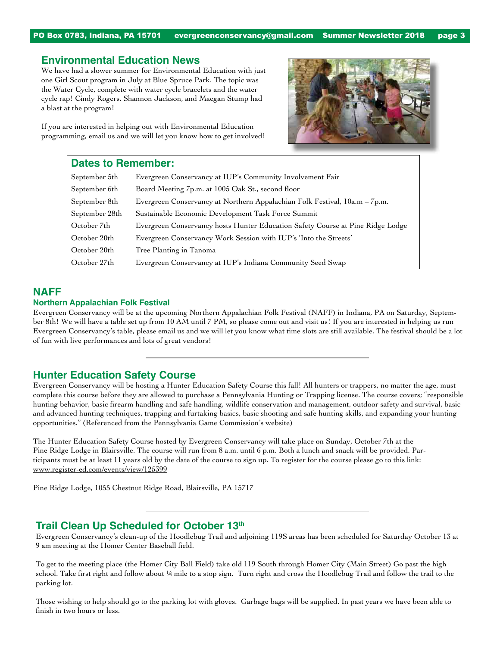PO Box 0783, Indiana, PA 15701 [evergreenconservancy@gmail.com](mailto:evergreenconservancy@gmail.com) Summer Newsletter 2018 page 3

#### **Environmental Education News**

We have had a slower summer for Environmental Education with just one Girl Scout program in July at Blue Spruce Park. The topic was the Water Cycle, complete with water cycle bracelets and the water cycle rap! Cindy Rogers, Shannon Jackson, and Maegan Stump had a blast at the program!

If you are interested in helping out with Environmental Education programming, email us and we will let you know how to get involved!



## **Dates to Remember:**

| September 5th  | Evergreen Conservancy at IUP's Community Involvement Fair                      |
|----------------|--------------------------------------------------------------------------------|
| September 6th  | Board Meeting 7p.m. at 1005 Oak St., second floor                              |
| September 8th  | Evergreen Conservancy at Northern Appalachian Folk Festival, 10a.m – 7p.m.     |
| September 28th | Sustainable Economic Development Task Force Summit                             |
| October 7th    | Evergreen Conservancy hosts Hunter Education Safety Course at Pine Ridge Lodge |
| October 20th   | Evergreen Conservancy Work Session with IUP's 'Into the Streets'               |
| October 20th   | Tree Planting in Tanoma                                                        |
| October 27th   | Evergreen Conservancy at IUP's Indiana Community Seed Swap                     |

## **NAFF**

#### **Northern Appalachian Folk Festival**

Evergreen Conservancy will be at the upcoming Northern Appalachian Folk Festival (NAFF) in Indiana, PA on Saturday, September 8th! We will have a table set up from 10 AM until 7 PM, so please come out and visit us! If you are interested in helping us run Evergreen Conservancy's table, please email us and we will let you know what time slots are still available. The festival should be a lot of fun with live performances and lots of great vendors!

## **Hunter Education Safety Course**

Evergreen Conservancy will be hosting a Hunter Education Safety Course this fall! All hunters or trappers, no matter the age, must complete this course before they are allowed to purchase a Pennsylvania Hunting or Trapping license. The course covers; "responsible hunting behavior, basic firearm handling and safe handling, wildlife conservation and management, outdoor safety and survival, basic and advanced hunting techniques, trapping and furtaking basics, basic shooting and safe hunting skills, and expanding your hunting opportunities." (Referenced from the Pennsylvania Game Commission's website)

The Hunter Education Safety Course hosted by Evergreen Conservancy will take place on Sunday, October 7th at the Pine Ridge Lodge in Blairsville. The course will run from 8 a.m. until 6 p.m. Both a lunch and snack will be provided. Participants must be at least 11 years old by the date of the course to sign up. To register for the course please go to this link: [www.register-ed.com/events/view/125399](https://www.register-ed.com/events/view/125399)

Pine Ridge Lodge, 1055 Chestnut Ridge Road, Blairsville, PA 15717

## **Trail Clean Up Scheduled for October 13th**

Evergreen Conservancy's clean-up of the Hoodlebug Trail and adjoining 119S areas has been scheduled for Saturday October 13 at 9 am meeting at the Homer Center Baseball field.

To get to the meeting place (the Homer City Ball Field) take old 119 South through Homer City (Main Street) Go past the high school. Take first right and follow about ¼ mile to a stop sign. Turn right and cross the Hoodlebug Trail and follow the trail to the parking lot.

Those wishing to help should go to the parking lot with gloves. Garbage bags will be supplied. In past years we have been able to finish in two hours or less.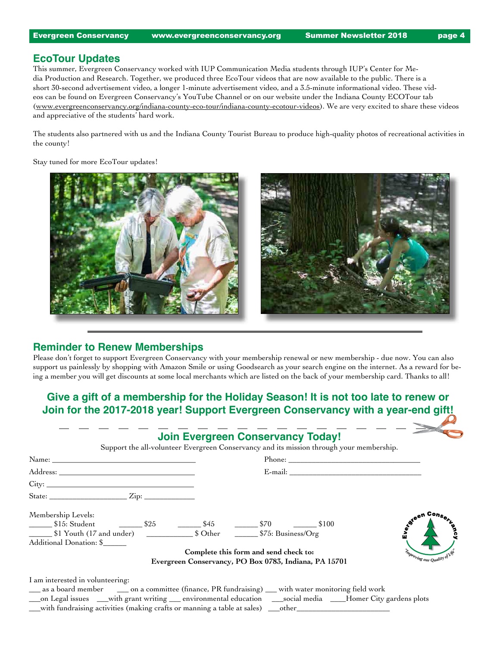## **EcoTour Updates**

This summer, Evergreen Conservancy worked with IUP Communication Media students through IUP's Center for Media Production and Research. Together, we produced three EcoTour videos that are now available to the public. There is a short 30-second advertisement video, a longer 1-minute advertisement video, and a 3.5-minute informational video. These videos can be found on Evergreen Conservancy's YouTube Channel or on our website under the Indiana County ECOTour tab [\(www.evergreenconservancy.org/indiana-county-eco-tour/indiana-county-ecotour-videos\)](http://www.evergreenconservancy.org/indiana-county-eco-tour/indiana-county-ecotour-videos). We are very excited to share these videos and appreciative of the students' hard work.

The students also partnered with us and the Indiana County Tourist Bureau to produce high-quality photos of recreational activities in the county!

Stay tuned for more EcoTour updates!



## **Reminder to Renew Memberships**

Please don't forget to support Evergreen Conservancy with your membership renewal or new membership - due now. You can also support us painlessly by shopping with Amazon Smile or using Goodsearch as your search engine on the internet. As a reward for being a member you will get discounts at some local merchants which are listed on the back of your membership card. Thanks to all!

# **Give a gift of a membership for the Holiday Season! It is not too late to renew or Join for the 2017-2018 year! Support Evergreen Conservancy with a year-end gift!**

| State: $\frac{Zip:}{\frac{1}{2}i}$                                                                    |                                                                                                |                          |
|-------------------------------------------------------------------------------------------------------|------------------------------------------------------------------------------------------------|--------------------------|
| Membership Levels:                                                                                    |                                                                                                |                          |
| \$15: Student \$25 5.5 \$45 \$70 \$100<br>\$1 Youth (17 and under) \$25 \$45 \$6.5 \$55: Business/Org |                                                                                                | <b>AIDY</b> e            |
| Additional Donation: \$                                                                               |                                                                                                |                          |
|                                                                                                       | Complete this form and send check to:<br>Evergreen Conservancy, PO Box 0783, Indiana, PA 15701 | Improving our Quality of |

\_\_\_on Legal issues \_\_\_with grant writing \_\_\_ environmental education \_\_\_social media \_\_\_\_Homer City gardens plots  $\_\_$ with fundraising activities (making crafts or manning a table at sales)  $\_\_$ other $\_\_$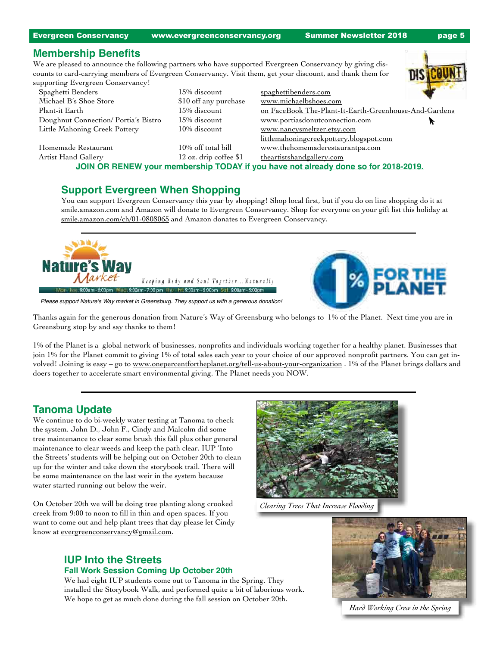Evergreen Conservancy [www.evergreenconservancy.org](http://www.evergreenconservancy.org) Summer Newsletter 2018 page 5

#### **Membership Benefits**

We are pleased to announce the following partners who have supported Evergreen Conservancy by giving discounts to card-carrying members of Evergreen Conservancy. Visit them, get your discount, and thank them for

| supporting Evergreen Conservancy!                                                  |                          |                                                       |  |  |  |  |
|------------------------------------------------------------------------------------|--------------------------|-------------------------------------------------------|--|--|--|--|
| Spaghetti Benders                                                                  | 15% discount             | spaghettibenders.com                                  |  |  |  |  |
| Michael B's Shoe Store                                                             | \$10 off any purchase    | www.michaelbshoes.com                                 |  |  |  |  |
| Plant-it Earth                                                                     | 15% discount             | on FaceBook The-Plant-It-Earth-Greenhouse-And-Gardens |  |  |  |  |
| Doughnut Connection/Portia's Bistro                                                | 15% discount             | www.portiasdonutconnection.com                        |  |  |  |  |
| Little Mahoning Creek Pottery                                                      | 10% discount             | www.nancysmeltzer.etsy.com                            |  |  |  |  |
|                                                                                    |                          | littlemahoningcreekpottery.blogspot.com               |  |  |  |  |
| Homemade Restaurant                                                                | 10% off total bill       | www.thehomemaderestaurantpa.com                       |  |  |  |  |
| Artist Hand Gallery                                                                | $12$ oz. drip coffee \$1 | theartistshandgallery.com                             |  |  |  |  |
| JOIN OR RENEW your membership TODAY if you have not already done so for 2018-2019. |                          |                                                       |  |  |  |  |
|                                                                                    |                          |                                                       |  |  |  |  |

## **Support Evergreen When Shopping**

You can support Evergreen Conservancy this year by shopping! Shop local first, but if you do on line shopping do it at smile.amazon.com and Amazon will donate to Evergreen Conservancy. Shop for everyone on your gift list this holiday at [smile.amazon.com/ch/01-0808065](http://smile.amazon.com/ch/01-0808065) and Amazon donates to Evergreen Conservancy.



Please support Nature's Way market in Greensburg. They support us with a generous donation!

Thanks again for the generous donation from Nature's Way of Greensburg who belongs to 1% of the Planet. Next time you are in Greensburg stop by and say thanks to them!

1% of the Planet is a global network of businesses, nonprofits and individuals working together for a healthy planet. Businesses that join 1% for the Planet commit to giving 1% of total sales each year to your choice of our approved nonprofit partners. You can get involved! Joining is easy – go to [www.onepercentfortheplanet.org/tell-us-about-your-organization](http://www.onepercentfortheplanet.org/tell-us-about-your-organization) . 1% of the Planet brings dollars and doers together to accelerate smart environmental giving. The Planet needs you NOW.

## **Tanoma Update**

We continue to do bi-weekly water testing at Tanoma to check the system. John D., John F., Cindy and Malcolm did some tree maintenance to clear some brush this fall plus other general maintenance to clear weeds and keep the path clear. IUP 'Into the Streets' students will be helping out on October 20th to clean up for the winter and take down the storybook trail. There will be some maintenance on the last weir in the system because water started running out below the weir.

On October 20th we will be doing tree planting along crooked creek from 9:00 to noon to fill in thin and open spaces. If you want to come out and help plant trees that day please let Cindy know at [evergreenconservancy@gmail.com](mailto:evergreenconservancy@gmail.com).

## **IUP Into the Streets Fall Work Session Coming Up October 20th**

We had eight IUP students come out to Tanoma in the Spring. They installed the Storybook Walk, and performed quite a bit of laborious work. We hope to get as much done during the fall session on October 20th.



*Clearing Trees That Increase Flooding*



*Hard Working Crew in the Spring*